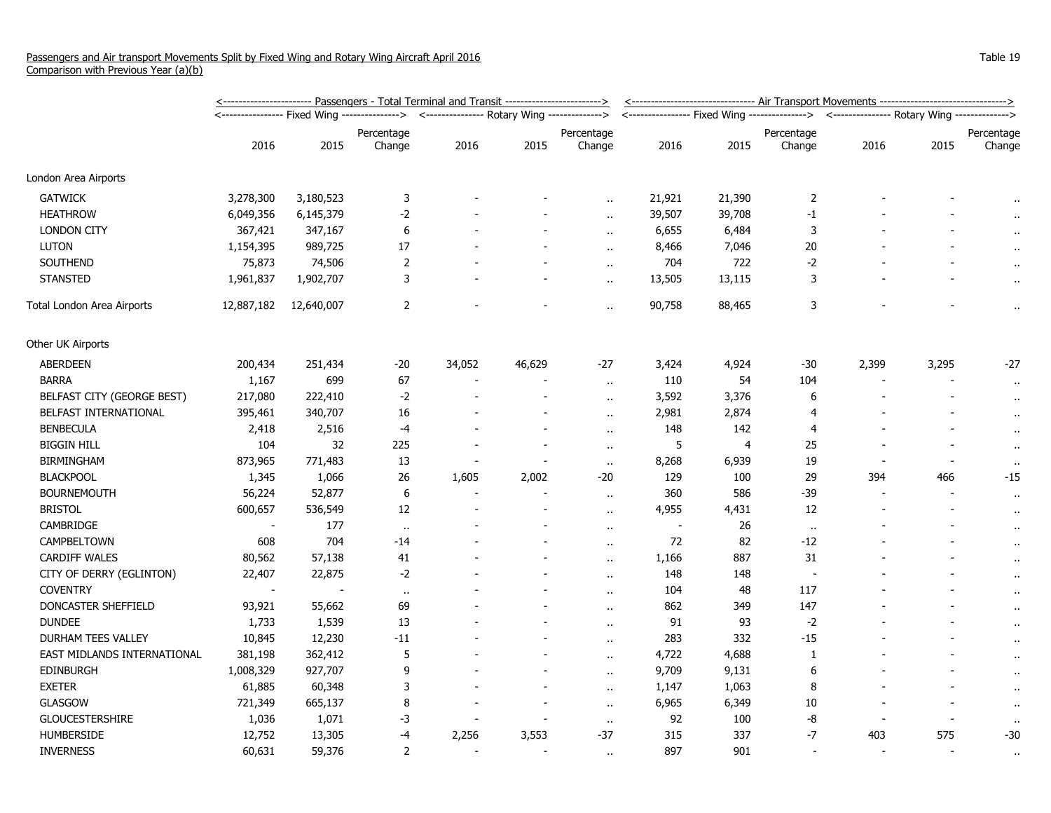|                             | <u>&lt;----------------------- Passengers - Total Terminal and Transit ------------------------&gt;</u> |            |                   |                                              |                          |                          |        | <------------------------------ Air Transport Movements ------------------------------> |                                                                                          |                |       |                      |  |
|-----------------------------|---------------------------------------------------------------------------------------------------------|------------|-------------------|----------------------------------------------|--------------------------|--------------------------|--------|-----------------------------------------------------------------------------------------|------------------------------------------------------------------------------------------|----------------|-------|----------------------|--|
|                             |                                                                                                         |            | ----------------> | <--------------- Rotary Wing --------------> |                          |                          |        |                                                                                         | <---------------- Fixed Wing --------------> <--------------- Rotary Wing -------------> |                |       |                      |  |
|                             |                                                                                                         |            | Percentage        |                                              |                          | Percentage               |        |                                                                                         | Percentage                                                                               |                |       | Percentage           |  |
|                             | 2016                                                                                                    | 2015       | Change            | 2016                                         | 2015                     | Change                   | 2016   | 2015                                                                                    | Change                                                                                   | 2016           | 2015  | Change               |  |
| London Area Airports        |                                                                                                         |            |                   |                                              |                          |                          |        |                                                                                         |                                                                                          |                |       |                      |  |
| <b>GATWICK</b>              | 3,278,300                                                                                               | 3,180,523  | 3                 |                                              |                          |                          | 21,921 | 21,390                                                                                  | $\overline{2}$                                                                           |                |       |                      |  |
| <b>HEATHROW</b>             | 6,049,356                                                                                               | 6,145,379  | -2                |                                              |                          | $\ddot{\phantom{a}}$     | 39,507 | 39,708                                                                                  | $-1$                                                                                     |                |       | $\sim$               |  |
| <b>LONDON CITY</b>          | 367,421                                                                                                 | 347,167    | 6                 |                                              |                          | $\ddotsc$                | 6,655  | 6,484                                                                                   | 3                                                                                        |                |       |                      |  |
| <b>LUTON</b>                | 1,154,395                                                                                               | 989,725    | 17                |                                              |                          | $\ddot{\phantom{a}}$     | 8,466  | 7,046                                                                                   | 20                                                                                       |                |       |                      |  |
| SOUTHEND                    | 75,873                                                                                                  | 74,506     | $\overline{2}$    |                                              |                          | $\ddot{\phantom{a}}$     | 704    | 722                                                                                     | $-2$                                                                                     |                |       | $\bullet$ .          |  |
| <b>STANSTED</b>             | 1,961,837                                                                                               | 1,902,707  | 3                 |                                              |                          | $\ddot{\phantom{a}}$     | 13,505 | 13,115                                                                                  | 3                                                                                        |                |       | $\alpha$             |  |
| Total London Area Airports  | 12,887,182                                                                                              | 12,640,007 | $\overline{2}$    |                                              |                          | $\ddot{\phantom{a}}$     | 90,758 | 88,465                                                                                  | 3                                                                                        |                |       | $\ddot{\phantom{1}}$ |  |
| Other UK Airports           |                                                                                                         |            |                   |                                              |                          |                          |        |                                                                                         |                                                                                          |                |       |                      |  |
| ABERDEEN                    | 200,434                                                                                                 | 251,434    | -20               | 34,052                                       | 46,629                   | $-27$                    | 3,424  | 4,924                                                                                   | $-30$                                                                                    | 2,399          | 3,295 | $-27$                |  |
| <b>BARRA</b>                | 1,167                                                                                                   | 699        | 67                |                                              |                          | $\ddot{\phantom{a}}$     | 110    | 54                                                                                      | 104                                                                                      |                |       | $\cdot$ .            |  |
| BELFAST CITY (GEORGE BEST)  | 217,080                                                                                                 | 222,410    | $-2$              |                                              | $\overline{\phantom{a}}$ | $\ddot{\phantom{a}}$     | 3,592  | 3,376                                                                                   | 6                                                                                        |                |       |                      |  |
| BELFAST INTERNATIONAL       | 395,461                                                                                                 | 340,707    | 16                |                                              |                          | $\ddot{\phantom{a}}$     | 2,981  | 2,874                                                                                   | 4                                                                                        |                |       | $\bullet$            |  |
| <b>BENBECULA</b>            | 2,418                                                                                                   | 2,516      | -4                |                                              |                          | $\ddot{\phantom{a}}$     | 148    | 142                                                                                     | 4                                                                                        |                |       | $\cdot$ .            |  |
| <b>BIGGIN HILL</b>          | 104                                                                                                     | 32         | 225               |                                              | $\sim$                   | $\ddot{\phantom{1}}$     | 5      | $\overline{4}$                                                                          | 25                                                                                       |                |       | $\bullet$ .          |  |
| <b>BIRMINGHAM</b>           | 873,965                                                                                                 | 771,483    | 13                |                                              |                          | $\alpha$ .               | 8,268  | 6,939                                                                                   | 19                                                                                       |                |       | $\bullet$            |  |
| <b>BLACKPOOL</b>            | 1,345                                                                                                   | 1,066      | 26                | 1,605                                        | 2,002                    | $-20$                    | 129    | 100                                                                                     | 29                                                                                       | 394            | 466   | $-15$                |  |
| <b>BOURNEMOUTH</b>          | 56,224                                                                                                  | 52,877     | 6                 |                                              |                          | $\ddot{\phantom{a}}$     | 360    | 586                                                                                     | -39                                                                                      |                |       | $\bullet$ .          |  |
| <b>BRISTOL</b>              | 600,657                                                                                                 | 536,549    | 12                |                                              |                          | $\ddot{\phantom{a}}$     | 4,955  | 4,431                                                                                   | 12                                                                                       |                |       | $\alpha$             |  |
| CAMBRIDGE                   | $\overline{\phantom{a}}$                                                                                | 177        | $\bullet\bullet$  |                                              |                          | $\sim$                   | $\sim$ | 26                                                                                      | $\cdot$ .                                                                                |                |       | $\cdot$ .            |  |
| CAMPBELTOWN                 | 608                                                                                                     | 704        | -14               |                                              |                          | $\ddot{\phantom{a}}$     | 72     | 82                                                                                      | $-12$                                                                                    |                |       | $\bullet$            |  |
| CARDIFF WALES               | 80,562                                                                                                  | 57,138     | 41                |                                              |                          | $\overline{\phantom{a}}$ | 1,166  | 887                                                                                     | 31                                                                                       |                |       | $\alpha$             |  |
| CITY OF DERRY (EGLINTON)    | 22,407                                                                                                  | 22,875     | $-2$              |                                              |                          | $\ddot{\phantom{a}}$     | 148    | 148                                                                                     | $\overline{\phantom{a}}$                                                                 |                |       | $\bullet$ .          |  |
| <b>COVENTRY</b>             | $\overline{\phantom{a}}$                                                                                |            | $\sim$            |                                              |                          | $\ddot{\phantom{a}}$     | 104    | 48                                                                                      | 117                                                                                      |                |       | $\mathbf{r}$ .       |  |
| DONCASTER SHEFFIELD         | 93,921                                                                                                  | 55,662     | 69                |                                              |                          | $\ddot{\phantom{a}}$     | 862    | 349                                                                                     | 147                                                                                      |                |       | $\alpha$             |  |
| <b>DUNDEE</b>               | 1,733                                                                                                   | 1,539      | 13                |                                              |                          | $\alpha$                 | 91     | 93                                                                                      | $-2$                                                                                     |                |       | $\alpha$             |  |
| DURHAM TEES VALLEY          | 10,845                                                                                                  | 12,230     | $-11$             |                                              |                          | $\ddot{\phantom{a}}$     | 283    | 332                                                                                     | $-15$                                                                                    |                |       | $\bullet$            |  |
| EAST MIDLANDS INTERNATIONAL | 381,198                                                                                                 | 362,412    | 5                 |                                              |                          | $\overline{\phantom{a}}$ | 4,722  | 4,688                                                                                   | 1                                                                                        |                |       | $\alpha$             |  |
| <b>EDINBURGH</b>            | 1,008,329                                                                                               | 927,707    | 9                 |                                              |                          | $\overline{\phantom{a}}$ | 9,709  | 9,131                                                                                   | 6                                                                                        |                |       |                      |  |
| <b>EXETER</b>               | 61,885                                                                                                  | 60,348     | 3                 |                                              |                          | $\ddot{\phantom{a}}$     | 1,147  | 1,063                                                                                   | 8                                                                                        |                |       | $\mathbf{r}$ .       |  |
| <b>GLASGOW</b>              | 721,349                                                                                                 | 665,137    | 8                 |                                              |                          | $\ddot{\phantom{a}}$     | 6,965  | 6,349                                                                                   | 10                                                                                       |                |       | $\alpha$             |  |
| <b>GLOUCESTERSHIRE</b>      | 1,036                                                                                                   | 1,071      | -3                |                                              |                          | $\sim$                   | 92     | 100                                                                                     | -8                                                                                       |                |       | $\cdot\cdot$         |  |
| HUMBERSIDE                  | 12,752                                                                                                  | 13,305     | -4                | 2,256                                        | 3,553                    | $-37$                    | 315    | 337                                                                                     | $-7$                                                                                     | 403            | 575   | $-30$                |  |
| <b>INVERNESS</b>            | 60,631                                                                                                  | 59,376     | 2                 |                                              |                          | $\ddot{\phantom{a}}$     | 897    | 901                                                                                     |                                                                                          | $\overline{a}$ |       | $\ddot{\phantom{a}}$ |  |